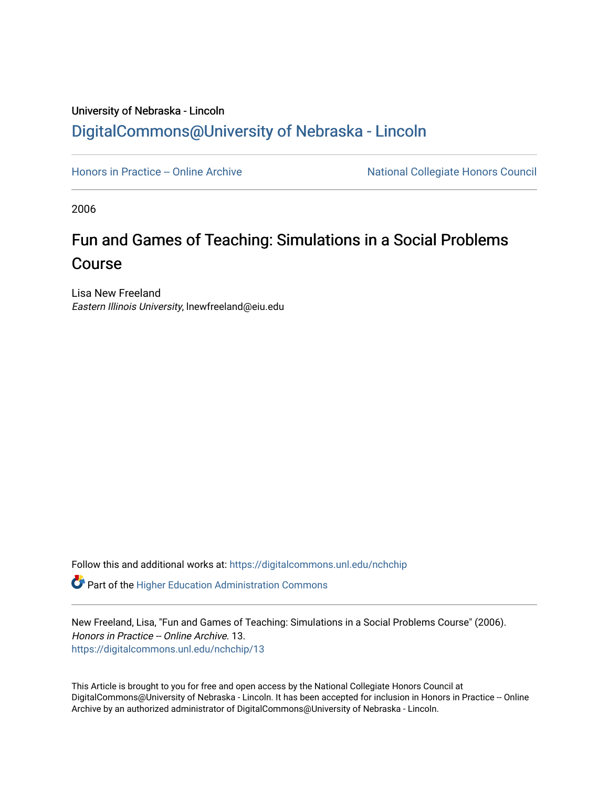## University of Nebraska - Lincoln [DigitalCommons@University of Nebraska - Lincoln](https://digitalcommons.unl.edu/)

[Honors in Practice -- Online Archive](https://digitalcommons.unl.edu/nchchip) National Collegiate Honors Council

2006

# Fun and Games of Teaching: Simulations in a Social Problems Course

Lisa New Freeland Eastern Illinois University, lnewfreeland@eiu.edu

Follow this and additional works at: [https://digitalcommons.unl.edu/nchchip](https://digitalcommons.unl.edu/nchchip?utm_source=digitalcommons.unl.edu%2Fnchchip%2F13&utm_medium=PDF&utm_campaign=PDFCoverPages) 

**C** Part of the Higher Education Administration Commons

New Freeland, Lisa, "Fun and Games of Teaching: Simulations in a Social Problems Course" (2006). Honors in Practice -- Online Archive. 13. [https://digitalcommons.unl.edu/nchchip/13](https://digitalcommons.unl.edu/nchchip/13?utm_source=digitalcommons.unl.edu%2Fnchchip%2F13&utm_medium=PDF&utm_campaign=PDFCoverPages) 

This Article is brought to you for free and open access by the National Collegiate Honors Council at DigitalCommons@University of Nebraska - Lincoln. It has been accepted for inclusion in Honors in Practice -- Online Archive by an authorized administrator of DigitalCommons@University of Nebraska - Lincoln.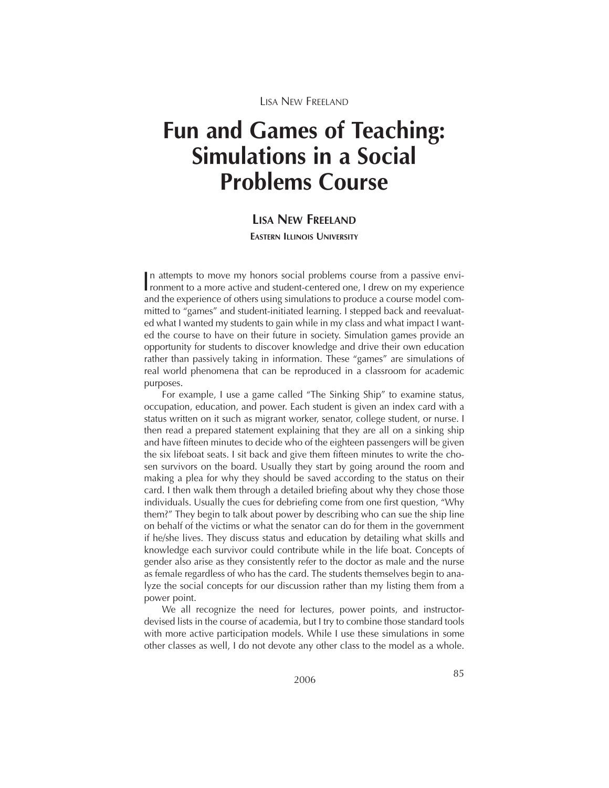# **Fun and Games of Teaching: Simulations in a Social Problems Course**

## **LISA NEW FREELAND**

**EASTERN ILLINOIS UNIVERSITY**

In attempts to move my honors social problems course from a passive environment to a more active and student-centered one, I drew on my experience ronment to a more active and student-centered one, I drew on my experience and the experience of others using simulations to produce a course model committed to "games" and student-initiated learning. I stepped back and reevaluated what I wanted my students to gain while in my class and what impact I wanted the course to have on their future in society. Simulation games provide an opportunity for students to discover knowledge and drive their own education rather than passively taking in information. These "games" are simulations of real world phenomena that can be reproduced in a classroom for academic purposes.

For example, I use a game called "The Sinking Ship" to examine status, occupation, education, and power. Each student is given an index card with a status written on it such as migrant worker, senator, college student, or nurse. I then read a prepared statement explaining that they are all on a sinking ship and have fifteen minutes to decide who of the eighteen passengers will be given the six lifeboat seats. I sit back and give them fifteen minutes to write the chosen survivors on the board. Usually they start by going around the room and making a plea for why they should be saved according to the status on their card. I then walk them through a detailed briefing about why they chose those individuals. Usually the cues for debriefing come from one first question, "Why them?" They begin to talk about power by describing who can sue the ship line on behalf of the victims or what the senator can do for them in the government if he/she lives. They discuss status and education by detailing what skills and knowledge each survivor could contribute while in the life boat. Concepts of gender also arise as they consistently refer to the doctor as male and the nurse as female regardless of who has the card. The students themselves begin to analyze the social concepts for our discussion rather than my listing them from a power point.

We all recognize the need for lectures, power points, and instructordevised lists in the course of academia, but I try to combine those standard tools with more active participation models. While I use these simulations in some other classes as well, I do not devote any other class to the model as a whole.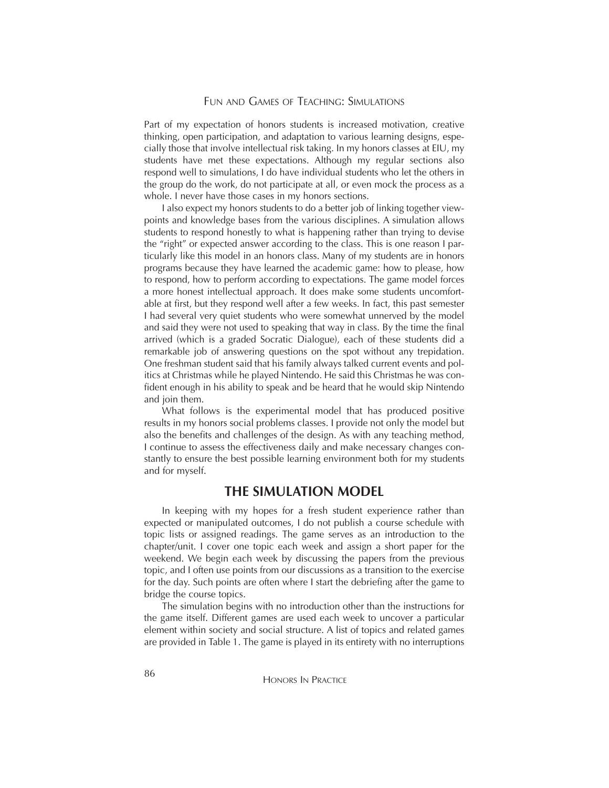Part of my expectation of honors students is increased motivation, creative thinking, open participation, and adaptation to various learning designs, especially those that involve intellectual risk taking. In my honors classes at EIU, my students have met these expectations. Although my regular sections also respond well to simulations, I do have individual students who let the others in the group do the work, do not participate at all, or even mock the process as a whole. I never have those cases in my honors sections.

I also expect my honors students to do a better job of linking together viewpoints and knowledge bases from the various disciplines. A simulation allows students to respond honestly to what is happening rather than trying to devise the "right" or expected answer according to the class. This is one reason I particularly like this model in an honors class. Many of my students are in honors programs because they have learned the academic game: how to please, how to respond, how to perform according to expectations. The game model forces a more honest intellectual approach. It does make some students uncomfortable at first, but they respond well after a few weeks. In fact, this past semester I had several very quiet students who were somewhat unnerved by the model and said they were not used to speaking that way in class. By the time the final arrived (which is a graded Socratic Dialogue), each of these students did a remarkable job of answering questions on the spot without any trepidation. One freshman student said that his family always talked current events and politics at Christmas while he played Nintendo. He said this Christmas he was confident enough in his ability to speak and be heard that he would skip Nintendo and join them.

What follows is the experimental model that has produced positive results in my honors social problems classes. I provide not only the model but also the benefits and challenges of the design. As with any teaching method, I continue to assess the effectiveness daily and make necessary changes constantly to ensure the best possible learning environment both for my students and for myself.

### **THE SIMULATION MODEL**

In keeping with my hopes for a fresh student experience rather than expected or manipulated outcomes, I do not publish a course schedule with topic lists or assigned readings. The game serves as an introduction to the chapter/unit. I cover one topic each week and assign a short paper for the weekend. We begin each week by discussing the papers from the previous topic, and I often use points from our discussions as a transition to the exercise for the day. Such points are often where I start the debriefing after the game to bridge the course topics.

The simulation begins with no introduction other than the instructions for the game itself. Different games are used each week to uncover a particular element within society and social structure. A list of topics and related games are provided in Table 1. The game is played in its entirety with no interruptions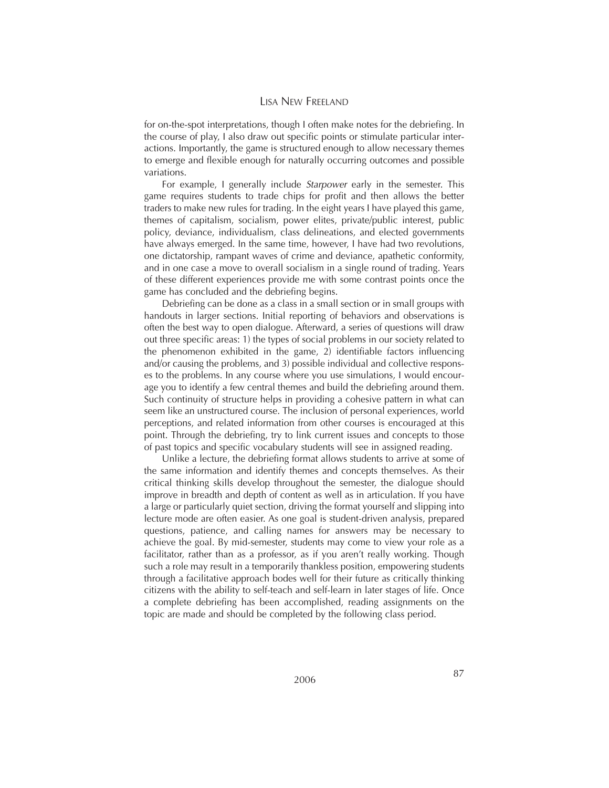for on-the-spot interpretations, though I often make notes for the debriefing. In the course of play, I also draw out specific points or stimulate particular interactions. Importantly, the game is structured enough to allow necessary themes to emerge and flexible enough for naturally occurring outcomes and possible variations.

For example, I generally include *Starpower* early in the semester. This game requires students to trade chips for profit and then allows the better traders to make new rules for trading. In the eight years I have played this game, themes of capitalism, socialism, power elites, private/public interest, public policy, deviance, individualism, class delineations, and elected governments have always emerged. In the same time, however, I have had two revolutions, one dictatorship, rampant waves of crime and deviance, apathetic conformity, and in one case a move to overall socialism in a single round of trading. Years of these different experiences provide me with some contrast points once the game has concluded and the debriefing begins.

Debriefing can be done as a class in a small section or in small groups with handouts in larger sections. Initial reporting of behaviors and observations is often the best way to open dialogue. Afterward, a series of questions will draw out three specific areas: 1) the types of social problems in our society related to the phenomenon exhibited in the game, 2) identifiable factors influencing and/or causing the problems, and 3) possible individual and collective responses to the problems. In any course where you use simulations, I would encourage you to identify a few central themes and build the debriefing around them. Such continuity of structure helps in providing a cohesive pattern in what can seem like an unstructured course. The inclusion of personal experiences, world perceptions, and related information from other courses is encouraged at this point. Through the debriefing, try to link current issues and concepts to those of past topics and specific vocabulary students will see in assigned reading.

Unlike a lecture, the debriefing format allows students to arrive at some of the same information and identify themes and concepts themselves. As their critical thinking skills develop throughout the semester, the dialogue should improve in breadth and depth of content as well as in articulation. If you have a large or particularly quiet section, driving the format yourself and slipping into lecture mode are often easier. As one goal is student-driven analysis, prepared questions, patience, and calling names for answers may be necessary to achieve the goal. By mid-semester, students may come to view your role as a facilitator, rather than as a professor, as if you aren't really working. Though such a role may result in a temporarily thankless position, empowering students through a facilitative approach bodes well for their future as critically thinking citizens with the ability to self-teach and self-learn in later stages of life. Once a complete debriefing has been accomplished, reading assignments on the topic are made and should be completed by the following class period.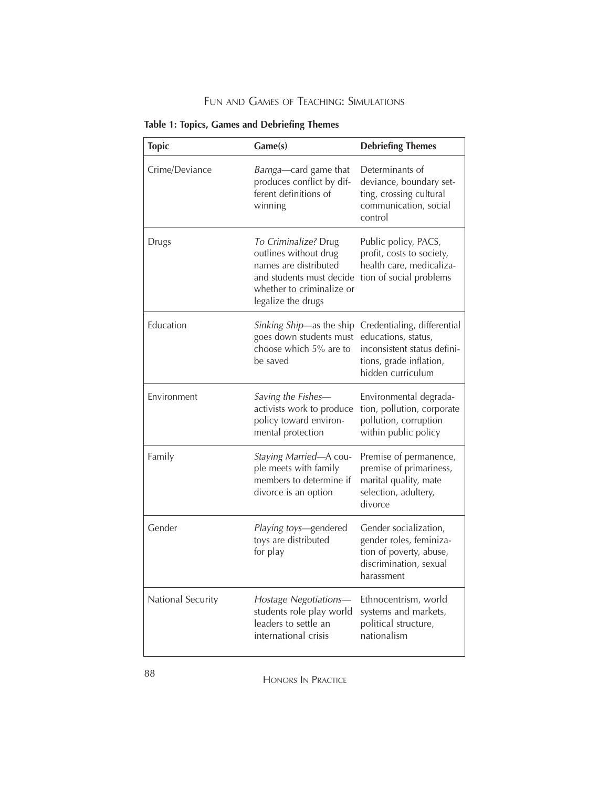## FUN AND GAMES OF TEACHING: SIMULATIONS

| <b>Topic</b>      | Game(s)                                                                                                                                               | <b>Debriefing Themes</b>                                                                                                          |
|-------------------|-------------------------------------------------------------------------------------------------------------------------------------------------------|-----------------------------------------------------------------------------------------------------------------------------------|
| Crime/Deviance    | Barnga—card game that<br>produces conflict by dif-<br>ferent definitions of<br>winning                                                                | Determinants of<br>deviance, boundary set-<br>ting, crossing cultural<br>communication, social<br>control                         |
| Drugs             | To Criminalize? Drug<br>outlines without drug<br>names are distributed<br>and students must decide<br>whether to criminalize or<br>legalize the drugs | Public policy, PACS,<br>profit, costs to society,<br>health care, medicaliza-<br>tion of social problems                          |
| Education         | Sinking Ship—as the ship<br>goes down students must<br>choose which 5% are to<br>be saved                                                             | Credentialing, differential<br>educations, status,<br>inconsistent status defini-<br>tions, grade inflation,<br>hidden curriculum |
| Environment       | Saving the Fishes-<br>activists work to produce<br>policy toward environ-<br>mental protection                                                        | Environmental degrada-<br>tion, pollution, corporate<br>pollution, corruption<br>within public policy                             |
| Family            | Staying Married-A cou-<br>ple meets with family<br>members to determine if<br>divorce is an option                                                    | Premise of permanence,<br>premise of primariness,<br>marital quality, mate<br>selection, adultery,<br>divorce                     |
| Gender            | <i>Playing toys</i> —gendered<br>toys are distributed<br>for play                                                                                     | Gender socialization,<br>gender roles, feminiza-<br>tion of poverty, abuse,<br>discrimination, sexual<br>harassment               |
| National Security | Hostage Negotiations-<br>students role play world<br>leaders to settle an<br>international crisis                                                     | Ethnocentrism, world<br>systems and markets,<br>political structure,<br>nationalism                                               |

#### **Table 1: Topics, Games and Debriefing Themes**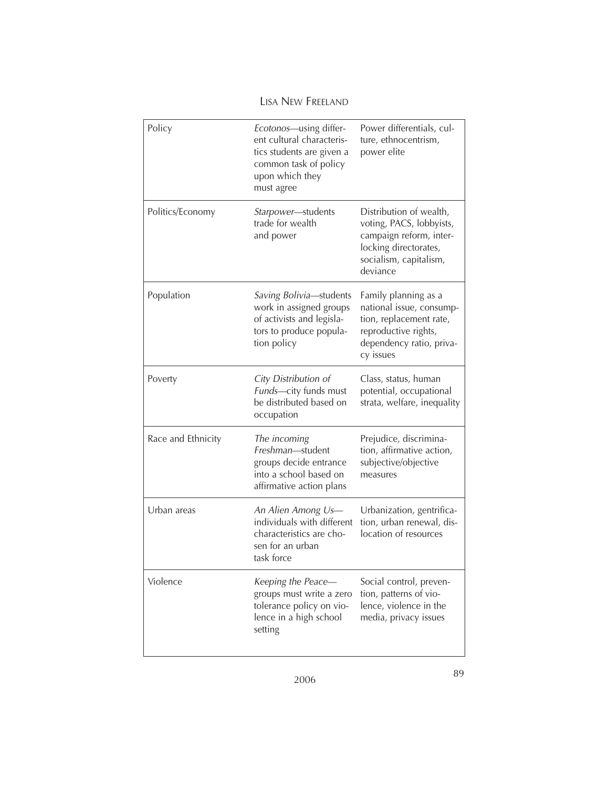| Policy             | Ecotonos-using differ-<br>ent cultural characteris-<br>tics students are given a<br>common task of policy<br>upon which they<br>must agree | Power differentials, cul-<br>ture, ethnocentrism,<br>power elite                                                                              |
|--------------------|--------------------------------------------------------------------------------------------------------------------------------------------|-----------------------------------------------------------------------------------------------------------------------------------------------|
| Politics/Economy   | Starpower-students<br>trade for wealth<br>and power                                                                                        | Distribution of wealth,<br>voting, PACS, lobbyists,<br>campaign reform, inter-<br>locking directorates,<br>socialism, capitalism,<br>deviance |
| Population         | Saving Bolivia-students<br>work in assigned groups<br>of activists and legisla-<br>tors to produce popula-<br>tion policy                  | Family planning as a<br>national issue, consump-<br>tion, replacement rate,<br>reproductive rights,<br>dependency ratio, priva-<br>cy issues  |
| Poverty            | City Distribution of<br>Funds-city funds must<br>be distributed based on<br>occupation                                                     | Class, status, human<br>potential, occupational<br>strata, welfare, inequality                                                                |
| Race and Ethnicity | The incoming<br>Freshman-student<br>groups decide entrance<br>into a school based on<br>affirmative action plans                           | Prejudice, discrimina-<br>tion, affirmative action,<br>subjective/objective<br>measures                                                       |
| Urban areas        | An Alien Among Us-<br>individuals with different<br>characteristics are cho-<br>sen for an urban<br>task force                             | Urbanization, gentrifica-<br>tion, urban renewal, dis-<br>location of resources                                                               |
| Violence           | Keeping the Peace-<br>groups must write a zero<br>tolerance policy on vio-<br>lence in a high school<br>setting                            | Social control, preven-<br>tion, patterns of vio-<br>lence, violence in the<br>media, privacy issues                                          |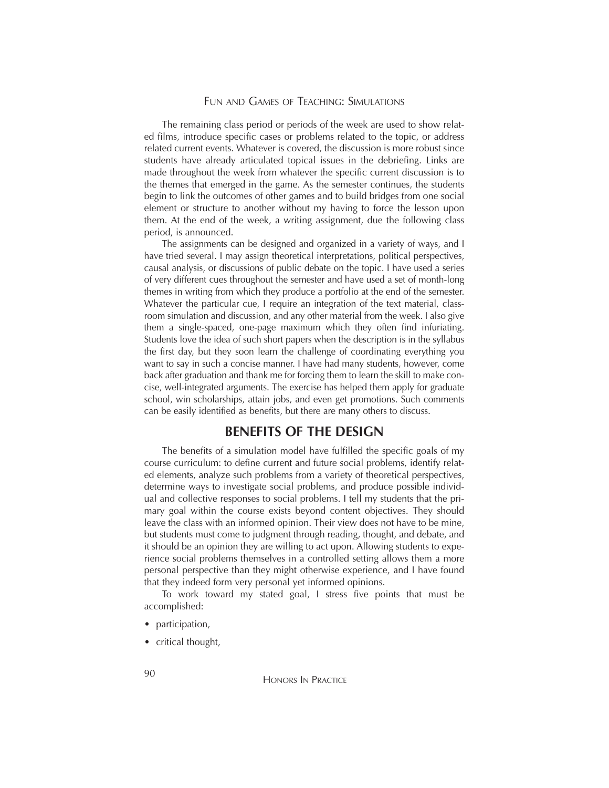The remaining class period or periods of the week are used to show related films, introduce specific cases or problems related to the topic, or address related current events. Whatever is covered, the discussion is more robust since students have already articulated topical issues in the debriefing. Links are made throughout the week from whatever the specific current discussion is to the themes that emerged in the game. As the semester continues, the students begin to link the outcomes of other games and to build bridges from one social element or structure to another without my having to force the lesson upon them. At the end of the week, a writing assignment, due the following class period, is announced.

The assignments can be designed and organized in a variety of ways, and I have tried several. I may assign theoretical interpretations, political perspectives, causal analysis, or discussions of public debate on the topic. I have used a series of very different cues throughout the semester and have used a set of month-long themes in writing from which they produce a portfolio at the end of the semester. Whatever the particular cue, I require an integration of the text material, classroom simulation and discussion, and any other material from the week. I also give them a single-spaced, one-page maximum which they often find infuriating. Students love the idea of such short papers when the description is in the syllabus the first day, but they soon learn the challenge of coordinating everything you want to say in such a concise manner. I have had many students, however, come back after graduation and thank me for forcing them to learn the skill to make concise, well-integrated arguments. The exercise has helped them apply for graduate school, win scholarships, attain jobs, and even get promotions. Such comments can be easily identified as benefits, but there are many others to discuss.

#### **BENEFITS OF THE DESIGN**

The benefits of a simulation model have fulfilled the specific goals of my course curriculum: to define current and future social problems, identify related elements, analyze such problems from a variety of theoretical perspectives, determine ways to investigate social problems, and produce possible individual and collective responses to social problems. I tell my students that the primary goal within the course exists beyond content objectives. They should leave the class with an informed opinion. Their view does not have to be mine, but students must come to judgment through reading, thought, and debate, and it should be an opinion they are willing to act upon. Allowing students to experience social problems themselves in a controlled setting allows them a more personal perspective than they might otherwise experience, and I have found that they indeed form very personal yet informed opinions.

To work toward my stated goal, I stress five points that must be accomplished:

- participation,
- critical thought,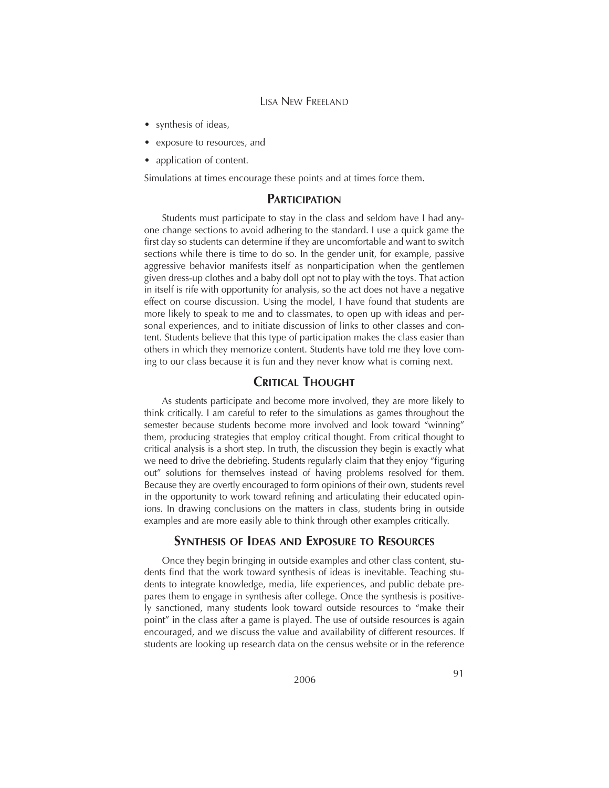- synthesis of ideas,
- exposure to resources, and
- application of content.

Simulations at times encourage these points and at times force them.

### **PARTICIPATION**

Students must participate to stay in the class and seldom have I had anyone change sections to avoid adhering to the standard. I use a quick game the first day so students can determine if they are uncomfortable and want to switch sections while there is time to do so. In the gender unit, for example, passive aggressive behavior manifests itself as nonparticipation when the gentlemen given dress-up clothes and a baby doll opt not to play with the toys. That action in itself is rife with opportunity for analysis, so the act does not have a negative effect on course discussion. Using the model, I have found that students are more likely to speak to me and to classmates, to open up with ideas and personal experiences, and to initiate discussion of links to other classes and content. Students believe that this type of participation makes the class easier than others in which they memorize content. Students have told me they love coming to our class because it is fun and they never know what is coming next.

## **CRITICAL THOUGHT**

As students participate and become more involved, they are more likely to think critically. I am careful to refer to the simulations as games throughout the semester because students become more involved and look toward "winning" them, producing strategies that employ critical thought. From critical thought to critical analysis is a short step. In truth, the discussion they begin is exactly what we need to drive the debriefing. Students regularly claim that they enjoy "figuring out" solutions for themselves instead of having problems resolved for them. Because they are overtly encouraged to form opinions of their own, students revel in the opportunity to work toward refining and articulating their educated opinions. In drawing conclusions on the matters in class, students bring in outside examples and are more easily able to think through other examples critically.

### **SYNTHESIS OF IDEAS AND EXPOSURE TO RESOURCES**

Once they begin bringing in outside examples and other class content, students find that the work toward synthesis of ideas is inevitable. Teaching students to integrate knowledge, media, life experiences, and public debate prepares them to engage in synthesis after college. Once the synthesis is positively sanctioned, many students look toward outside resources to "make their point" in the class after a game is played. The use of outside resources is again encouraged, and we discuss the value and availability of different resources. If students are looking up research data on the census website or in the reference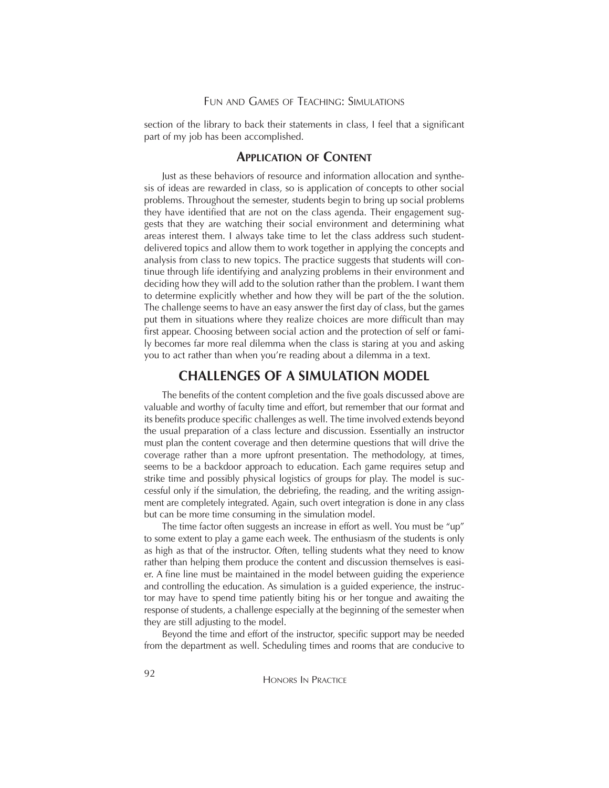#### FUN AND GAMES OF TEACHING: SIMULATIONS

section of the library to back their statements in class, I feel that a significant part of my job has been accomplished.

#### **APPLICATION OF CONTENT**

Just as these behaviors of resource and information allocation and synthesis of ideas are rewarded in class, so is application of concepts to other social problems. Throughout the semester, students begin to bring up social problems they have identified that are not on the class agenda. Their engagement suggests that they are watching their social environment and determining what areas interest them. I always take time to let the class address such studentdelivered topics and allow them to work together in applying the concepts and analysis from class to new topics. The practice suggests that students will continue through life identifying and analyzing problems in their environment and deciding how they will add to the solution rather than the problem. I want them to determine explicitly whether and how they will be part of the the solution. The challenge seems to have an easy answer the first day of class, but the games put them in situations where they realize choices are more difficult than may first appear. Choosing between social action and the protection of self or family becomes far more real dilemma when the class is staring at you and asking you to act rather than when you're reading about a dilemma in a text.

#### **CHALLENGES OF A SIMULATION MODEL**

The benefits of the content completion and the five goals discussed above are valuable and worthy of faculty time and effort, but remember that our format and its benefits produce specific challenges as well. The time involved extends beyond the usual preparation of a class lecture and discussion. Essentially an instructor must plan the content coverage and then determine questions that will drive the coverage rather than a more upfront presentation. The methodology, at times, seems to be a backdoor approach to education. Each game requires setup and strike time and possibly physical logistics of groups for play. The model is successful only if the simulation, the debriefing, the reading, and the writing assignment are completely integrated. Again, such overt integration is done in any class but can be more time consuming in the simulation model.

The time factor often suggests an increase in effort as well. You must be "up" to some extent to play a game each week. The enthusiasm of the students is only as high as that of the instructor. Often, telling students what they need to know rather than helping them produce the content and discussion themselves is easier. A fine line must be maintained in the model between guiding the experience and controlling the education. As simulation is a guided experience, the instructor may have to spend time patiently biting his or her tongue and awaiting the response of students, a challenge especially at the beginning of the semester when they are still adjusting to the model.

Beyond the time and effort of the instructor, specific support may be needed from the department as well. Scheduling times and rooms that are conducive to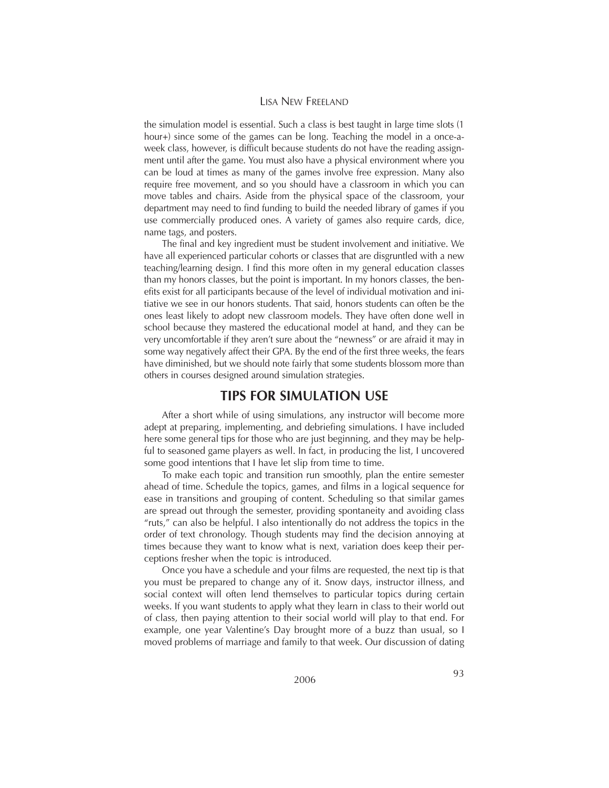the simulation model is essential. Such a class is best taught in large time slots (1 hour+) since some of the games can be long. Teaching the model in a once-aweek class, however, is difficult because students do not have the reading assignment until after the game. You must also have a physical environment where you can be loud at times as many of the games involve free expression. Many also require free movement, and so you should have a classroom in which you can move tables and chairs. Aside from the physical space of the classroom, your department may need to find funding to build the needed library of games if you use commercially produced ones. A variety of games also require cards, dice, name tags, and posters.

The final and key ingredient must be student involvement and initiative. We have all experienced particular cohorts or classes that are disgruntled with a new teaching/learning design. I find this more often in my general education classes than my honors classes, but the point is important. In my honors classes, the benefits exist for all participants because of the level of individual motivation and initiative we see in our honors students. That said, honors students can often be the ones least likely to adopt new classroom models. They have often done well in school because they mastered the educational model at hand, and they can be very uncomfortable if they aren't sure about the "newness" or are afraid it may in some way negatively affect their GPA. By the end of the first three weeks, the fears have diminished, but we should note fairly that some students blossom more than others in courses designed around simulation strategies.

### **TIPS FOR SIMULATION USE**

After a short while of using simulations, any instructor will become more adept at preparing, implementing, and debriefing simulations. I have included here some general tips for those who are just beginning, and they may be helpful to seasoned game players as well. In fact, in producing the list, I uncovered some good intentions that I have let slip from time to time.

To make each topic and transition run smoothly, plan the entire semester ahead of time. Schedule the topics, games, and films in a logical sequence for ease in transitions and grouping of content. Scheduling so that similar games are spread out through the semester, providing spontaneity and avoiding class "ruts," can also be helpful. I also intentionally do not address the topics in the order of text chronology. Though students may find the decision annoying at times because they want to know what is next, variation does keep their perceptions fresher when the topic is introduced.

Once you have a schedule and your films are requested, the next tip is that you must be prepared to change any of it. Snow days, instructor illness, and social context will often lend themselves to particular topics during certain weeks. If you want students to apply what they learn in class to their world out of class, then paying attention to their social world will play to that end. For example, one year Valentine's Day brought more of a buzz than usual, so I moved problems of marriage and family to that week. Our discussion of dating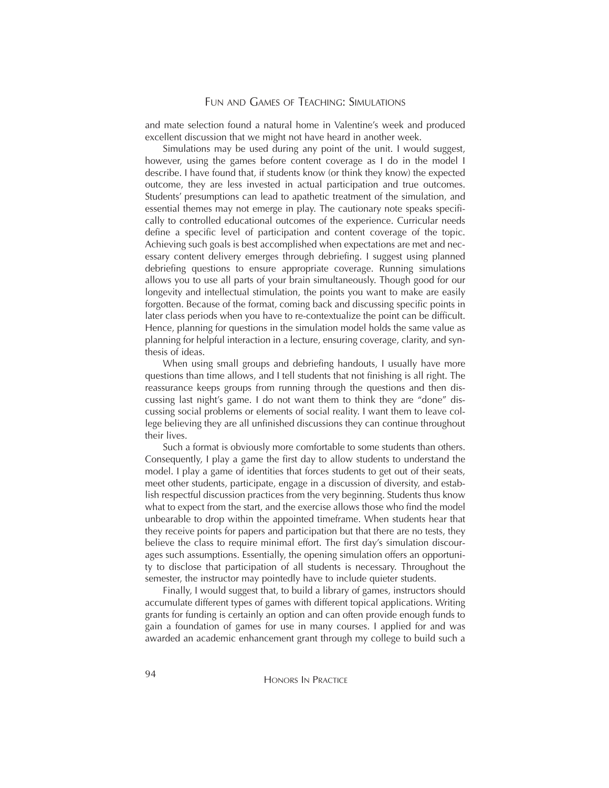and mate selection found a natural home in Valentine's week and produced excellent discussion that we might not have heard in another week.

Simulations may be used during any point of the unit. I would suggest, however, using the games before content coverage as I do in the model I describe. I have found that, if students know (or think they know) the expected outcome, they are less invested in actual participation and true outcomes. Students' presumptions can lead to apathetic treatment of the simulation, and essential themes may not emerge in play. The cautionary note speaks specifically to controlled educational outcomes of the experience. Curricular needs define a specific level of participation and content coverage of the topic. Achieving such goals is best accomplished when expectations are met and necessary content delivery emerges through debriefing. I suggest using planned debriefing questions to ensure appropriate coverage. Running simulations allows you to use all parts of your brain simultaneously. Though good for our longevity and intellectual stimulation, the points you want to make are easily forgotten. Because of the format, coming back and discussing specific points in later class periods when you have to re-contextualize the point can be difficult. Hence, planning for questions in the simulation model holds the same value as planning for helpful interaction in a lecture, ensuring coverage, clarity, and synthesis of ideas.

When using small groups and debriefing handouts, I usually have more questions than time allows, and I tell students that not finishing is all right. The reassurance keeps groups from running through the questions and then discussing last night's game. I do not want them to think they are "done" discussing social problems or elements of social reality. I want them to leave college believing they are all unfinished discussions they can continue throughout their lives.

Such a format is obviously more comfortable to some students than others. Consequently, I play a game the first day to allow students to understand the model. I play a game of identities that forces students to get out of their seats, meet other students, participate, engage in a discussion of diversity, and establish respectful discussion practices from the very beginning. Students thus know what to expect from the start, and the exercise allows those who find the model unbearable to drop within the appointed timeframe. When students hear that they receive points for papers and participation but that there are no tests, they believe the class to require minimal effort. The first day's simulation discourages such assumptions. Essentially, the opening simulation offers an opportunity to disclose that participation of all students is necessary. Throughout the semester, the instructor may pointedly have to include quieter students.

Finally, I would suggest that, to build a library of games, instructors should accumulate different types of games with different topical applications. Writing grants for funding is certainly an option and can often provide enough funds to gain a foundation of games for use in many courses. I applied for and was awarded an academic enhancement grant through my college to build such a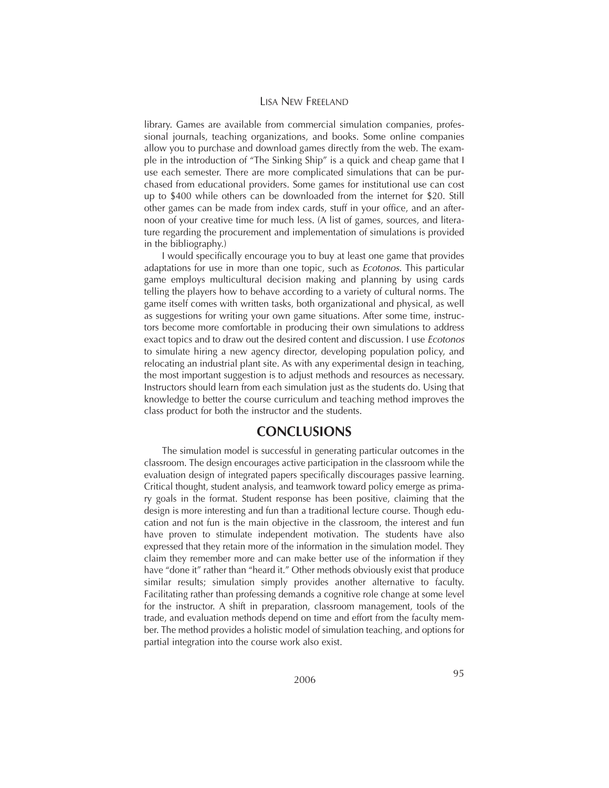library. Games are available from commercial simulation companies, professional journals, teaching organizations, and books. Some online companies allow you to purchase and download games directly from the web. The example in the introduction of "The Sinking Ship" is a quick and cheap game that I use each semester. There are more complicated simulations that can be purchased from educational providers. Some games for institutional use can cost up to \$400 while others can be downloaded from the internet for \$20. Still other games can be made from index cards, stuff in your office, and an afternoon of your creative time for much less. (A list of games, sources, and literature regarding the procurement and implementation of simulations is provided in the bibliography.)

I would specifically encourage you to buy at least one game that provides adaptations for use in more than one topic, such as *Ecotonos.* This particular game employs multicultural decision making and planning by using cards telling the players how to behave according to a variety of cultural norms. The game itself comes with written tasks, both organizational and physical, as well as suggestions for writing your own game situations. After some time, instructors become more comfortable in producing their own simulations to address exact topics and to draw out the desired content and discussion. I use *Ecotonos* to simulate hiring a new agency director, developing population policy, and relocating an industrial plant site. As with any experimental design in teaching, the most important suggestion is to adjust methods and resources as necessary. Instructors should learn from each simulation just as the students do. Using that knowledge to better the course curriculum and teaching method improves the class product for both the instructor and the students.

#### **CONCLUSIONS**

The simulation model is successful in generating particular outcomes in the classroom. The design encourages active participation in the classroom while the evaluation design of integrated papers specifically discourages passive learning. Critical thought, student analysis, and teamwork toward policy emerge as primary goals in the format. Student response has been positive, claiming that the design is more interesting and fun than a traditional lecture course. Though education and not fun is the main objective in the classroom, the interest and fun have proven to stimulate independent motivation. The students have also expressed that they retain more of the information in the simulation model. They claim they remember more and can make better use of the information if they have "done it" rather than "heard it." Other methods obviously exist that produce similar results; simulation simply provides another alternative to faculty. Facilitating rather than professing demands a cognitive role change at some level for the instructor. A shift in preparation, classroom management, tools of the trade, and evaluation methods depend on time and effort from the faculty member. The method provides a holistic model of simulation teaching, and options for partial integration into the course work also exist.